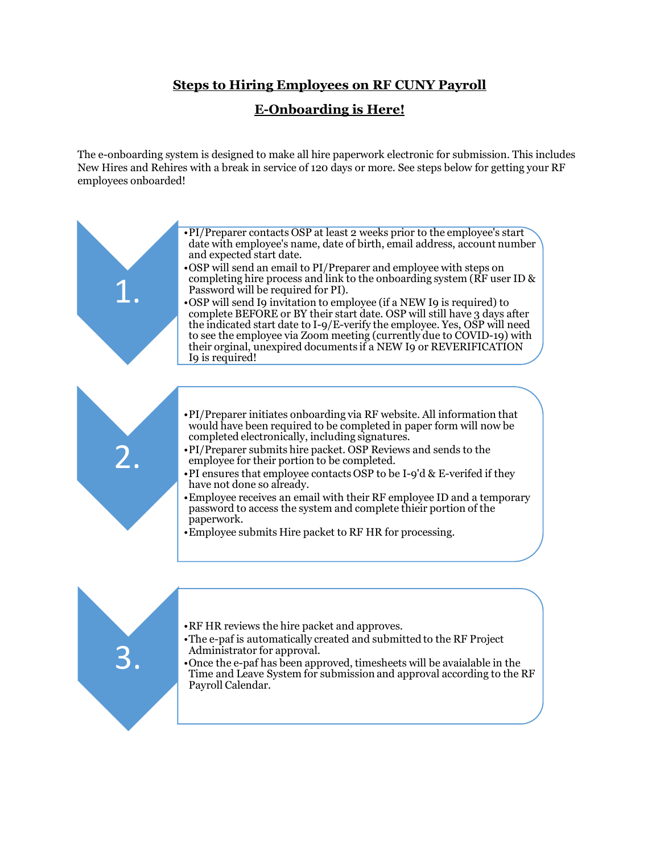## **Steps to Hiring Employees on RF CUNY Payroll**

## **E-Onboarding is Here!**

The e-onboarding system is designed to make all hire paperwork electronic for submission. This includes New Hires and Rehires with a break in service of 120 days or more. See steps below for getting your RF employees onboarded!



•RF HR reviews the hire packet and approves.

3.

- •The e-paf is automatically created and submitted to the RF Project Administrator for approval.
- •Once the e-paf has been approved, timesheets will be avaialable in the Time and Leave System for submission and approval according to the RF Payroll Calendar.